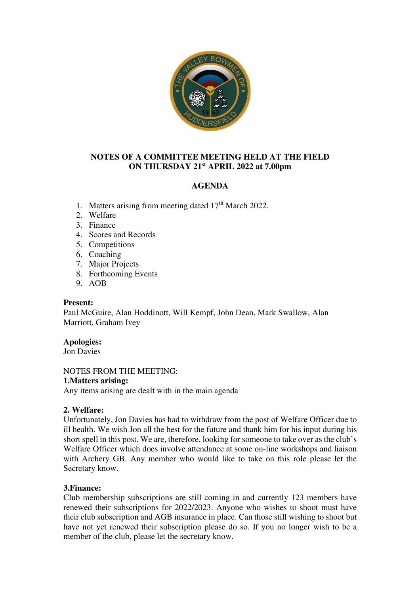

# **NOTES OF A COMMITTEE MEETING HELD AT THE FIELD ON THURSDAY 21st APRIL 2022 at 7.00pm**

# **AGENDA**

- 1. Matters arising from meeting dated  $17<sup>th</sup>$  March 2022.
- 2. Welfare
- 3. Finance
- 4. Scores and Records
- 5. Competitions
- 6. Coaching
- 7. Major Projects
- 8. Forthcoming Events
- 9. AOB

## **Present:**

Paul McGuire, Alan Hoddinott, Will Kempf, John Dean, Mark Swallow, Alan Marriott, Graham Ivey

## **Apologies:**

Jon Davies

NOTES FROM THE MEETING: **1.Matters arising:** 

Any items arising are dealt with in the main agenda

# **2. Welfare:**

Unfortunately, Jon Davies has had to withdraw from the post of Welfare Officer due to ill health. We wish Jon all the best for the future and thank him for his input during his short spell in this post. We are, therefore, looking for someone to take over as the club's Welfare Officer which does involve attendance at some on-line workshops and liaison with Archery GB. Any member who would like to take on this role please let the Secretary know.

# **3.Finance:**

Club membership subscriptions are still coming in and currently 123 members have renewed their subscriptions for 2022/2023. Anyone who wishes to shoot must have their club subscription and AGB insurance in place. Can those still wishing to shoot but have not yet renewed their subscription please do so. If you no longer wish to be a member of the club, please let the secretary know.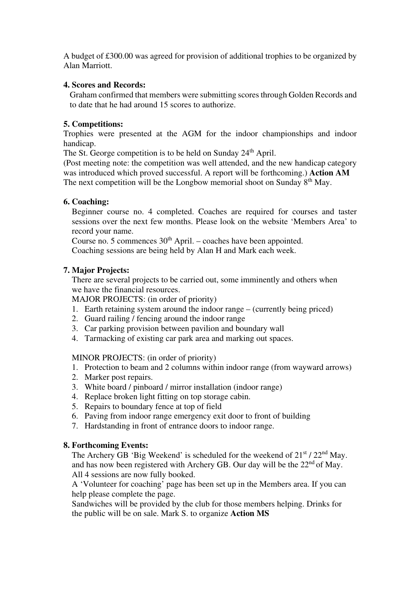A budget of £300.00 was agreed for provision of additional trophies to be organized by Alan Marriott.

# **4. Scores and Records:**

Graham confirmed that members were submitting scores through Golden Records and to date that he had around 15 scores to authorize.

## **5. Competitions:**

Trophies were presented at the AGM for the indoor championships and indoor handicap.

The St. George competition is to be held on Sunday 24<sup>th</sup> April.

(Post meeting note: the competition was well attended, and the new handicap category was introduced which proved successful. A report will be forthcoming.) **Action AM** The next competition will be the Longbow memorial shoot on Sunday  $8<sup>th</sup>$  May.

# **6. Coaching:**

Beginner course no. 4 completed. Coaches are required for courses and taster sessions over the next few months. Please look on the website 'Members Area' to record your name.

Course no. 5 commences  $30<sup>th</sup>$  April. – coaches have been appointed.

Coaching sessions are being held by Alan H and Mark each week.

# **7. Major Projects:**

There are several projects to be carried out, some imminently and others when we have the financial resources.

MAJOR PROJECTS: (in order of priority)

- 1. Earth retaining system around the indoor range (currently being priced)
- 2. Guard railing / fencing around the indoor range
- 3. Car parking provision between pavilion and boundary wall
- 4. Tarmacking of existing car park area and marking out spaces.

## MINOR PROJECTS: (in order of priority)

- 1. Protection to beam and 2 columns within indoor range (from wayward arrows)
- 2. Marker post repairs.
- 3. White board / pinboard / mirror installation (indoor range)
- 4. Replace broken light fitting on top storage cabin.
- 5. Repairs to boundary fence at top of field
- 6. Paving from indoor range emergency exit door to front of building
- 7. Hardstanding in front of entrance doors to indoor range.

## **8. Forthcoming Events:**

The Archery GB 'Big Weekend' is scheduled for the weekend of  $21<sup>st</sup> / 22<sup>nd</sup>$  May. and has now been registered with Archery GB. Our day will be the 22<sup>nd</sup> of May. All 4 sessions are now fully booked.

 A 'Volunteer for coaching' page has been set up in the Members area. If you can help please complete the page.

 Sandwiches will be provided by the club for those members helping. Drinks for the public will be on sale. Mark S. to organize **Action MS**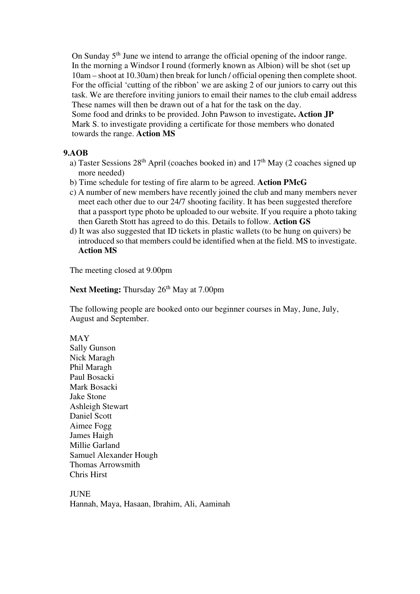On Sunday 5<sup>th</sup> June we intend to arrange the official opening of the indoor range. In the morning a Windsor I round (formerly known as Albion) will be shot (set up 10am – shoot at 10.30am) then break for lunch / official opening then complete shoot. For the official 'cutting of the ribbon' we are asking 2 of our juniors to carry out this task. We are therefore inviting juniors to email their names to the club email address These names will then be drawn out of a hat for the task on the day. Some food and drinks to be provided. John Pawson to investigate**. Action JP**  Mark S. to investigate providing a certificate for those members who donated towards the range. **Action MS** 

## **9.AOB**

- a) Taster Sessions  $28<sup>th</sup>$  April (coaches booked in) and  $17<sup>th</sup>$  May (2 coaches signed up more needed)
- b) Time schedule for testing of fire alarm to be agreed. **Action PMcG**
- c) A number of new members have recently joined the club and many members never meet each other due to our 24/7 shooting facility. It has been suggested therefore that a passport type photo be uploaded to our website. If you require a photo taking then Gareth Stott has agreed to do this. Details to follow. **Action GS**
- d) It was also suggested that ID tickets in plastic wallets (to be hung on quivers) be introduced so that members could be identified when at the field. MS to investigate. **Action MS**

The meeting closed at 9.00pm

**Next Meeting:** Thursday 26<sup>th</sup> May at 7.00pm

The following people are booked onto our beginner courses in May, June, July, August and September.

#### MAY

Sally Gunson Nick Maragh Phil Maragh Paul Bosacki Mark Bosacki Jake Stone Ashleigh Stewart Daniel Scott Aimee Fogg James Haigh Millie Garland Samuel Alexander Hough Thomas Arrowsmith Chris Hirst

**JUNE** Hannah, Maya, Hasaan, Ibrahim, Ali, Aaminah